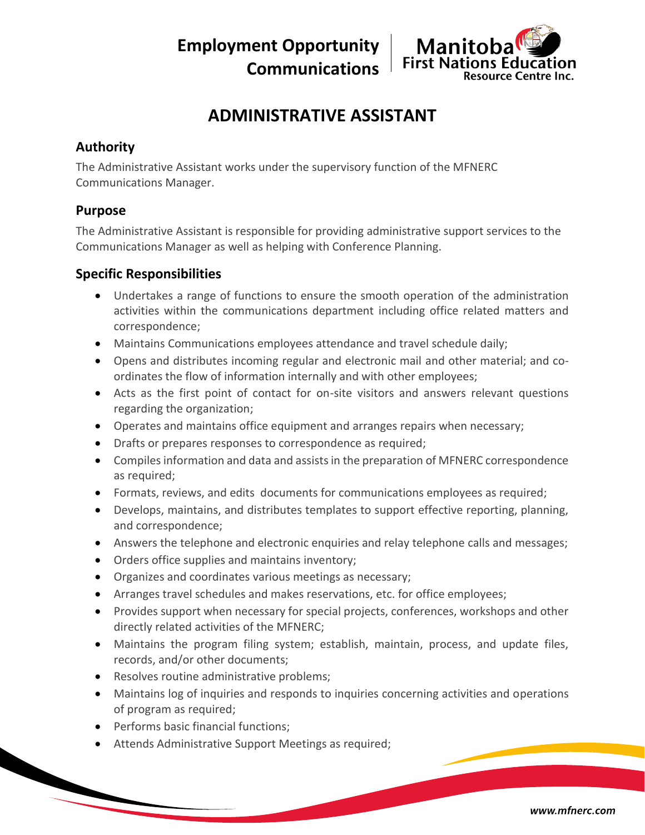**Employment Opportunity Communications**



# **ADMINISTRATIVE ASSISTANT**

### **Authority**

The Administrative Assistant works under the supervisory function of the MFNERC Communications Manager.

### **Purpose**

The Administrative Assistant is responsible for providing administrative support services to the Communications Manager as well as helping with Conference Planning.

## **Specific Responsibilities**

- Undertakes a range of functions to ensure the smooth operation of the administration activities within the communications department including office related matters and correspondence;
- Maintains Communications employees attendance and travel schedule daily;
- Opens and distributes incoming regular and electronic mail and other material; and coordinates the flow of information internally and with other employees;
- Acts as the first point of contact for on-site visitors and answers relevant questions regarding the organization;
- Operates and maintains office equipment and arranges repairs when necessary;
- Drafts or prepares responses to correspondence as required;
- Compiles information and data and assists in the preparation of MFNERC correspondence as required;
- Formats, reviews, and edits documents for communications employees as required;
- Develops, maintains, and distributes templates to support effective reporting, planning, and correspondence;
- Answers the telephone and electronic enquiries and relay telephone calls and messages;
- Orders office supplies and maintains inventory;
- Organizes and coordinates various meetings as necessary;
- Arranges travel schedules and makes reservations, etc. for office employees;
- Provides support when necessary for special projects, conferences, workshops and other directly related activities of the MFNERC;
- Maintains the program filing system; establish, maintain, process, and update files, records, and/or other documents;
- Resolves routine administrative problems;
- Maintains log of inquiries and responds to inquiries concerning activities and operations of program as required;
- Performs basic financial functions;
- Attends Administrative Support Meetings as required;